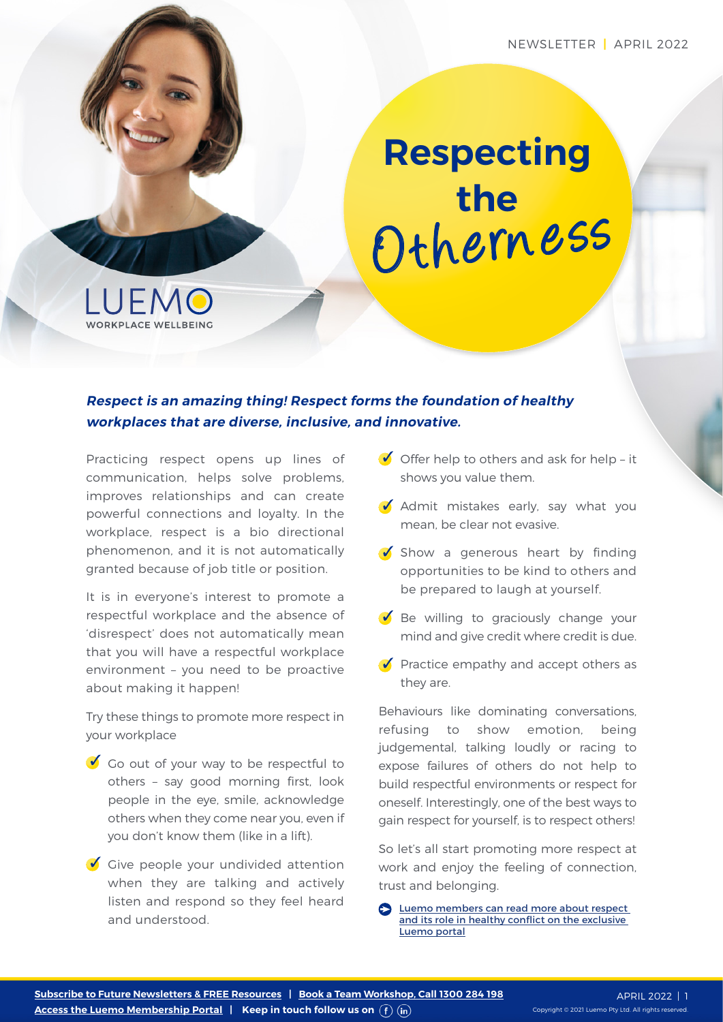# Othern ess **Respecting the**



#### **Respect is an amazing thing! Respect forms the foundation of healthy workplaces that are diverse, inclusive, and innovative.**

Practicing respect opens up lines of communication, helps solve problems, improves relationships and can create powerful connections and loyalty. In the workplace, respect is a bio directional phenomenon, and it is not automatically granted because of job title or position.

It is in everyone's interest to promote a respectful workplace and the absence of 'disrespect' does not automatically mean that you will have a respectful workplace environment – you need to be proactive about making it happen!

Try these things to promote more respect in your workplace

- $\bullet$  Go out of your way to be respectful to others – say good morning first, look people in the eye, smile, acknowledge others when they come near you, even if you don't know them (like in a lift).
- $\bullet$  Give people your undivided attention when they are talking and actively listen and respond so they feel heard and understood.
- $\bullet$  Offer help to others and ask for help it shows you value them.
- $\bullet$  Admit mistakes early, say what you mean, be clear not evasive.
- $\bullet$  Show a generous heart by finding opportunities to be kind to others and be prepared to laugh at yourself.
- $\bullet$  Be willing to graciously change your mind and give credit where credit is due.
- $\bullet$  Practice empathy and accept others as they are.

Behaviours like dominating conversations, refusing to show emotion, being judgemental, talking loudly or racing to expose failures of others do not help to build respectful environments or respect for oneself. Interestingly, one of the best ways to gain respect for yourself, is to respect others!

So let's all start promoting more respect at work and enjoy the feeling of connection, trust and belonging.

[Luemo members can read more about respect](https://luemo.com.au/resource/understanding-and-managing-conflict/)  [and its role in healthy conflict on the exclusive](https://luemo.com.au/resource/understanding-and-managing-conflict/)  [Luemo portal](https://luemo.com.au/resource/understanding-and-managing-conflict/)